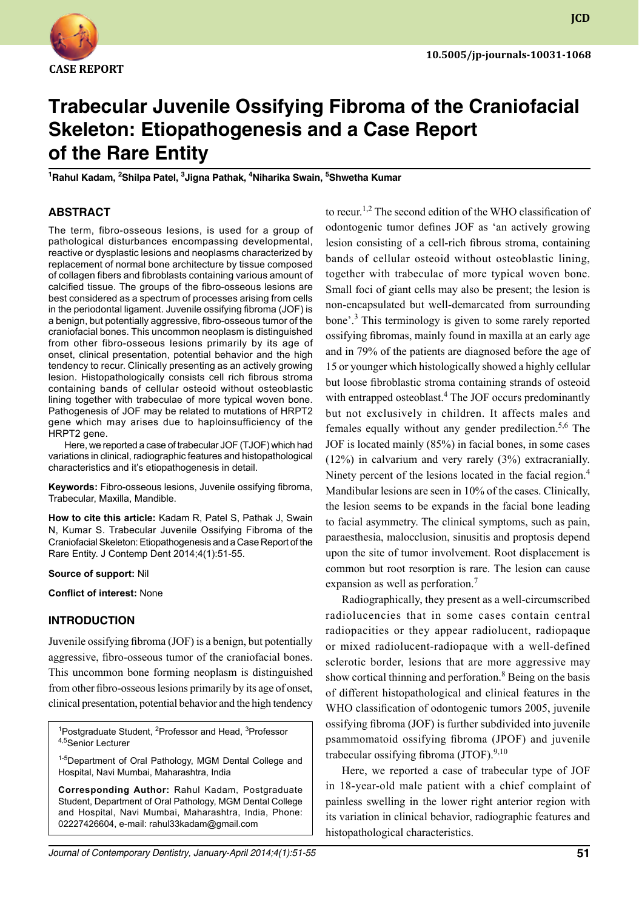

**JCD**

# **Trabecular Juvenile Ossifying Fibroma of the Craniofacial Skeleton: Etiopathogenesis and a Case Report of the Rare Entity**

**1 Rahul Kadam, 2 Shilpa Patel, 3 Jigna Pathak, 4 Niharika Swain, 5 Shwetha Kumar**

## **ABSTRACT**

The term, fibro-osseous lesions, is used for a group of pathological disturbances encompassing developmental, reactive or dysplastic lesions and neoplasms characterized by replacement of normal bone architecture by tissue composed of collagen fibers and fibroblasts containing various amount of calcified tissue. The groups of the fibro-osseous lesions are best considered as a spectrum of processes arising from cells in the periodontal ligament. Juvenile ossifying fibroma (JOF) is a benign, but potentially aggressive, fibro-osseous tumor of the craniofacial bones. This uncommon neoplasm is distinguished from other fibro-osseous lesions primarily by its age of onset, clinical presentation, potential behavior and the high tendency to recur. Clinically presenting as an actively growing lesion. Histopathologically consists cell rich fibrous stroma containing bands of cellular osteoid without osteoblastic lining together with trabeculae of more typical woven bone. Pathogenesis of JOF may be related to mutations of HRPT2 gene which may arises due to haploinsufficiency of the HRPT2 gene.

Here, we reported a case of trabecular JOF (TJOF) which had variations in clinical, radiographic features and histopathological characteristics and it's etiopathogenesis in detail.

**Keywords:** Fibro-osseous lesions, Juvenile ossifying fibroma, Trabecular, Maxilla, Mandible.

**How to cite this article:** Kadam R, Patel S, Pathak J, Swain N, Kumar S. Trabecular Juvenile Ossifying Fibroma of the Craniofacial Skeleton: Etiopathogenesis and a Case Report of the Rare Entity. J Contemp Dent 2014;4(1):51-55.

#### **Source of support:** Nil

**Conflict of interest:** None

#### **Introduction**

Juvenile ossifying fibroma (JOF) is a benign, but potentially aggressive, fibro-osseous tumor of the craniofacial bones. This uncommon bone forming neoplasm is distinguished from other fibro-osseous lesions primarily by its age of onset, clinical presentation, potential behavior and the high tendency

<sup>1</sup>Postgraduate Student, <sup>2</sup>Professor and Head, <sup>3</sup>Professor 4,5Senior Lecturer

<sup>1-5</sup>Department of Oral Pathology, MGM Dental College and Hospital, Navi Mumbai, Maharashtra, India

**Corresponding Author:** Rahul Kadam, Postgraduate Student, Department of Oral Pathology, MGM Dental College and Hospital, Navi Mumbai, Maharashtra, India, Phone: 02227426604, e-mail: rahul33kadam@gmail.com

*Journal of Contemporary Dentistry, January-April 2014;4(1):51-55* **51**

to recur.<sup>1,2</sup> The second edition of the WHO classification of odontogenic tumor defines JOF as 'an actively growing lesion consisting of a cell-rich fibrous stroma, containing bands of cellular osteoid without osteoblastic lining, together with trabeculae of more typical woven bone. Small foci of giant cells may also be present; the lesion is non-encapsulated but well-demarcated from surrounding bone'.<sup>3</sup> This terminology is given to some rarely reported ossifying fibromas, mainly found in maxilla at an early age and in 79% of the patients are diagnosed before the age of 15 or younger which histologically showed a highly cellular but loose fibroblastic stroma containing strands of osteoid with entrapped osteoblast.<sup>4</sup> The JOF occurs predominantly but not exclusively in children. It affects males and females equally without any gender predilection.<sup>5,6</sup> The JOF is located mainly (85%) in facial bones, in some cases (12%) in calvarium and very rarely (3%) extracranially. Ninety percent of the lesions located in the facial region.<sup>4</sup> Mandibular lesions are seen in 10% of the cases. Clinically, the lesion seems to be expands in the facial bone leading to facial asymmetry. The clinical symptoms, such as pain, paraesthesia, malocclusion, sinusitis and proptosis depend upon the site of tumor involvement. Root displacement is common but root resorption is rare. The lesion can cause expansion as well as perforation.<sup>7</sup>

Radiographically, they present as a well-circumscribed radiolucencies that in some cases contain central radiopacities or they appear radiolucent, radiopaque or mixed radiolucent-radiopaque with a well-defined sclerotic border, lesions that are more aggressive may show cortical thinning and perforation.<sup>8</sup> Being on the basis of different histopathological and clinical features in the WHO classification of odontogenic tumors 2005, juvenile ossifying fibroma (JOF) is further subdivided into juvenile psammomatoid ossifying fibroma (JPOF) and juvenile trabecular ossifying fibroma  $(TTOF)^{9,10}$ 

Here, we reported a case of trabecular type of JOF in 18-year-old male patient with a chief complaint of painless swelling in the lower right anterior region with its variation in clinical behavior, radiographic features and histopathological characteristics.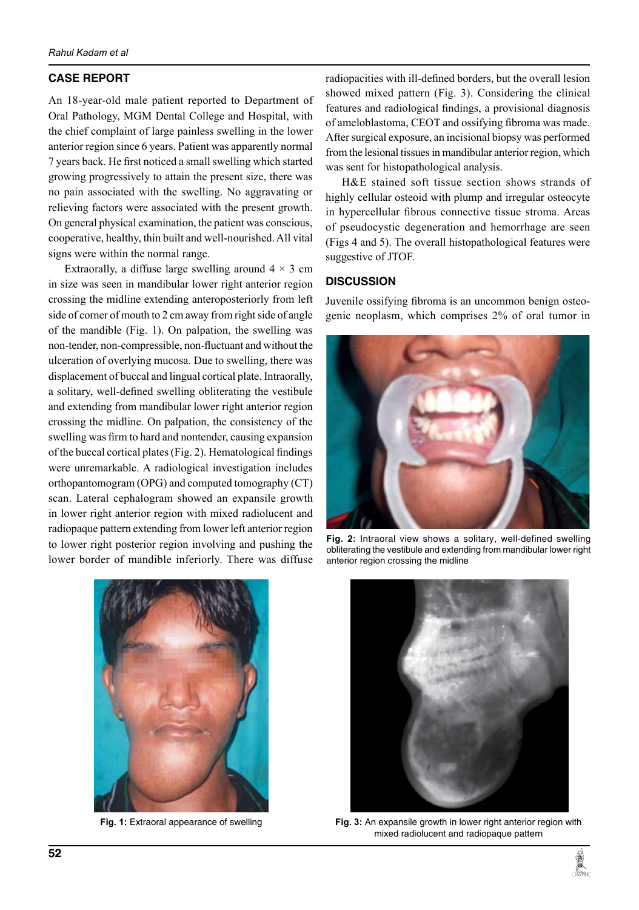## **CASE REPORT**

An 18-year-old male patient reported to Department of Oral Pathology, MGM Dental College and Hospital, with the chief complaint of large painless swelling in the lower anterior region since 6 years. Patient was apparently normal 7 years back. He first noticed a small swelling which started growing progressively to attain the present size, there was no pain associated with the swelling. No aggravating or relieving factors were associated with the present growth. On general physical examination, the patient was conscious, cooperative, healthy, thin built and well-nourished. All vital signs were within the normal range.

Extraorally, a diffuse large swelling around  $4 \times 3$  cm in size was seen in mandibular lower right anterior region crossing the midline extending anteroposteriorly from left side of corner of mouth to 2 cm away from right side of angle of the mandible (Fig. 1). On palpation, the swelling was non-tender, non-compressible, non-fluctuant and without the ulceration of overlying mucosa. Due to swelling, there was displacement of buccal and lingual cortical plate. Intraorally, a solitary, well-defined swelling obliterating the vestibule and extending from mandibular lower right anterior region crossing the midline. On palpation, the consistency of the swelling was firm to hard and nontender, causing expansion of the buccal cortical plates (Fig. 2). Hematological findings were unremarkable. A radiological investigation includes orthopantomogram (OPG) and computed tomography (CT) scan. Lateral cephalogram showed an expansile growth in lower right anterior region with mixed radiolucent and radiopaque pattern extending from lower left anterior region to lower right posterior region involving and pushing the lower border of mandible inferiorly. There was diffuse

radiopacities with ill-defined borders, but the overall lesion showed mixed pattern (Fig. 3). Considering the clinical features and radiological findings, a provisional diagnosis of ameloblastoma, CEOT and ossifying fibroma was made. After surgical exposure, an incisional biopsy was performed from the lesional tissues in mandibular anterior region, which was sent for histopathological analysis.

H&E stained soft tissue section shows strands of highly cellular osteoid with plump and irregular osteocyte in hypercellular fibrous connective tissue stroma. Areas of pseudocystic degeneration and hemorrhage are seen (Figs 4 and 5). The overall histopathological features were suggestive of JTOF.

## **DISCUSSION**

Juvenile ossifying fibroma is an uncommon benign osteogenic neoplasm, which comprises 2% of oral tumor in



**Fig. 2:** Intraoral view shows a solitary, well-defined swelling obliterating the vestibule and extending from mandibular lower right anterior region crossing the midline



**Fig. 1:** Extraoral appearance of swelling



**Fig. 3:** An expansile growth in lower right anterior region with mixed radiolucent and radiopaque pattern

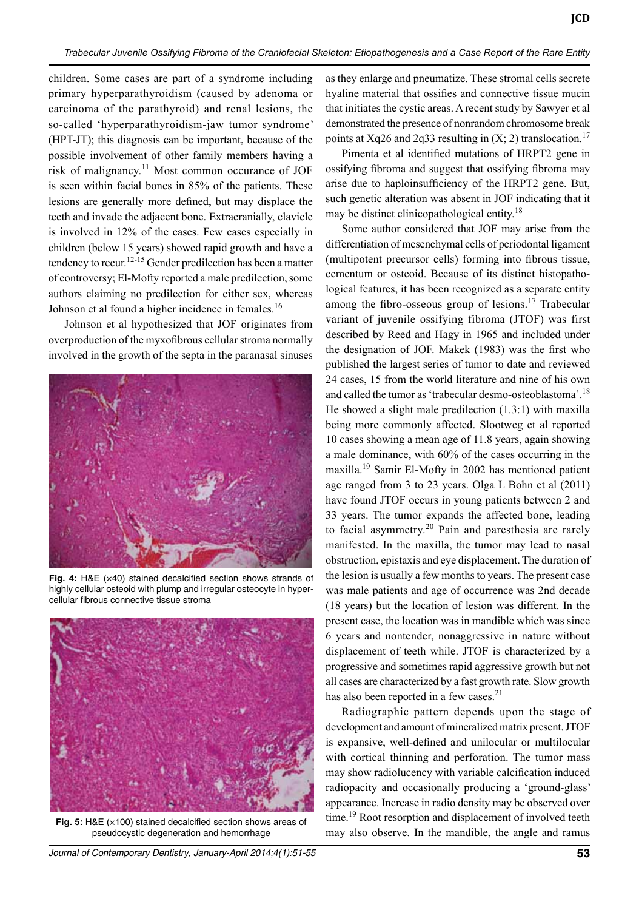children. Some cases are part of a syndrome including primary hyperparathyroidism (caused by adenoma or carcinoma of the parathyroid) and renal lesions, the so-called 'hyperparathyroidism-jaw tumor syndrome' (HPT-JT); this diagnosis can be important, because of the possible involvement of other family members having a risk of malignancy.<sup>11</sup> Most common occurance of JOF is seen within facial bones in 85% of the patients. These lesions are generally more defined, but may displace the teeth and invade the adjacent bone. Extracranially, clavicle is involved in 12% of the cases. Few cases especially in children (below 15 years) showed rapid growth and have a tendency to recur.<sup>12-15</sup> Gender predilection has been a matter of controversy; El-Mofty reported a male predilection, some authors claiming no predilection for either sex, whereas Johnson et al found a higher incidence in females.<sup>16</sup>

Johnson et al hypothesized that JOF originates from overproduction of the myxofibrous cellular stroma normally involved in the growth of the septa in the paranasal sinuses



**Fig. 4:** H&E (×40) stained decalcified section shows strands of highly cellular osteoid with plump and irregular osteocyte in hypercellular fibrous connective tissue stroma



**Fig. 5:** H&E (×100) stained decalcified section shows areas of pseudocystic degeneration and hemorrhage

as they enlarge and pneumatize. These stromal cells secrete hyaline material that ossifies and connective tissue mucin that initiates the cystic areas. A recent study by Sawyer et al demonstrated the presence of nonrandom chromosome break points at Xq26 and 2q33 resulting in  $(X; 2)$  translocation.<sup>17</sup>

**JCD**

Pimenta et al identified mutations of HRPT2 gene in ossifying fibroma and suggest that ossifying fibroma may arise due to haploinsufficiency of the HRPT2 gene. But, such genetic alteration was absent in JOF indicating that it may be distinct clinicopathological entity.<sup>18</sup>

Some author considered that JOF may arise from the differentiation of mesenchymal cells of periodontal ligament (multipotent precursor cells) forming into fibrous tissue, cementum or osteoid. Because of its distinct histopathological features, it has been recognized as a separate entity among the fibro-osseous group of lesions.<sup>17</sup> Trabecular variant of juvenile ossifying fibroma (JTOF) was first described by Reed and Hagy in 1965 and included under the designation of JOF. Makek (1983) was the first who published the largest series of tumor to date and reviewed 24 cases, 15 from the world literature and nine of his own and called the tumor as 'trabecular desmo-osteoblastoma'.18 He showed a slight male predilection (1.3:1) with maxilla being more commonly affected. Slootweg et al reported 10 cases showing a mean age of 11.8 years, again showing a male dominance, with 60% of the cases occurring in the maxilla.19 Samir El-Mofty in 2002 has mentioned patient age ranged from 3 to 23 years. Olga L Bohn et al (2011) have found JTOF occurs in young patients between 2 and 33 years. The tumor expands the affected bone, leading to facial asymmetry.<sup>20</sup> Pain and paresthesia are rarely manifested. In the maxilla, the tumor may lead to nasal obstruction, epistaxis and eye displacement. The duration of the lesion is usually a few months to years. The present case was male patients and age of occurrence was 2nd decade (18 years) but the location of lesion was different. In the present case, the location was in mandible which was since 6 years and nontender, nonaggressive in nature without displacement of teeth while. JTOF is characterized by a progressive and sometimes rapid aggressive growth but not all cases are characterized by a fast growth rate. Slow growth has also been reported in a few cases.<sup>21</sup>

Radiographic pattern depends upon the stage of development and amount of mineralized matrix present. JTOF is expansive, well-defined and unilocular or multilocular with cortical thinning and perforation. The tumor mass may show radiolucency with variable calcification induced radiopacity and occasionally producing a 'ground-glass' appearance. Increase in radio density may be observed over time.<sup>19</sup> Root resorption and displacement of involved teeth may also observe. In the mandible, the angle and ramus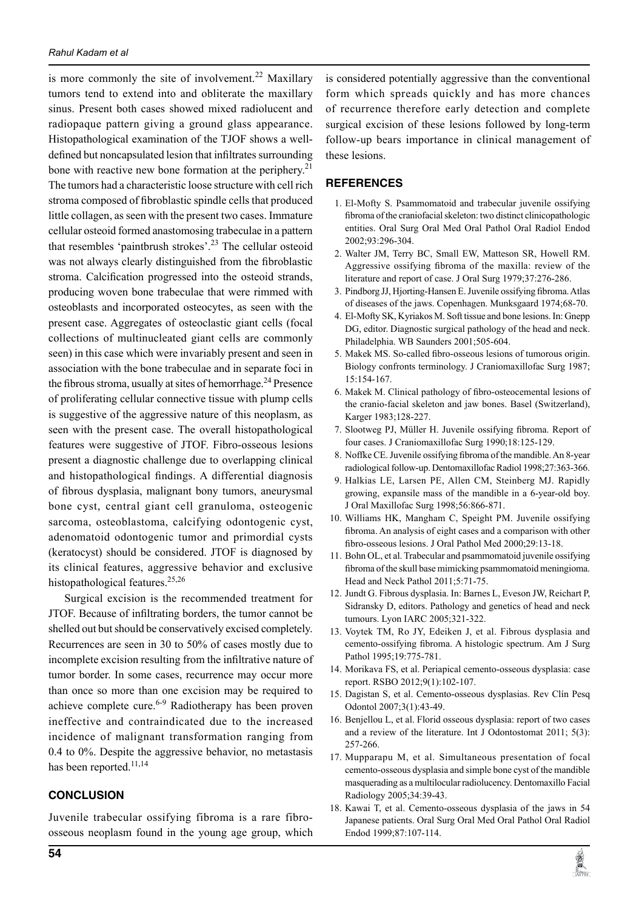is more commonly the site of involvement.<sup>22</sup> Maxillary tumors tend to extend into and obliterate the maxillary sinus. Present both cases showed mixed radiolucent and radiopaque pattern giving a ground glass appearance. Histopathological examination of the TJOF shows a welldefined but noncapsulated lesion that infiltrates surrounding bone with reactive new bone formation at the periphery.<sup>21</sup> The tumors had a characteristic loose structure with cell rich stroma composed of fibroblastic spindle cells that produced little collagen, as seen with the present two cases. Immature cellular osteoid formed anastomosing trabeculae in a pattern that resembles 'paintbrush strokes'.23 The cellular osteoid was not always clearly distinguished from the fibroblastic stroma. Calcification progressed into the osteoid strands, producing woven bone trabeculae that were rimmed with osteoblasts and incorporated osteocytes, as seen with the present case. Aggregates of osteoclastic giant cells (focal collections of multinucleated giant cells are commonly seen) in this case which were invariably present and seen in association with the bone trabeculae and in separate foci in the fibrous stroma, usually at sites of hemorrhage.<sup>24</sup> Presence of proliferating cellular connective tissue with plump cells is suggestive of the aggressive nature of this neoplasm, as seen with the present case. The overall histopathological features were suggestive of JTOF. Fibro-osseous lesions present a diagnostic challenge due to overlapping clinical and histopathological findings. A differential diagnosis of fibrous dysplasia, malignant bony tumors, aneurysmal bone cyst, central giant cell granuloma, osteogenic sarcoma, osteoblastoma, calcifying odontogenic cyst, adenomatoid odontogenic tumor and primordial cysts (keratocyst) should be considered. JTOF is diagnosed by its clinical features, aggressive behavior and exclusive histopathological features.<sup>25,26</sup>

Surgical excision is the recommended treatment for JTOF. Because of infiltrating borders, the tumor cannot be shelled out but should be conservatively excised completely. Recurrences are seen in 30 to 50% of cases mostly due to incomplete excision resulting from the infiltrative nature of tumor border. In some cases, recurrence may occur more than once so more than one excision may be required to achieve complete cure.<sup>6-9</sup> Radiotherapy has been proven ineffective and contraindicated due to the increased incidence of malignant transformation ranging from 0.4 to 0%. Despite the aggressive behavior, no metastasis has been reported.<sup>11,14</sup>

## **CONCLUSION**

Juvenile trabecular ossifying fibroma is a rare fibroosseous neoplasm found in the young age group, which is considered potentially aggressive than the conventional form which spreads quickly and has more chances of recurrence therefore early detection and complete surgical excision of these lesions followed by long-term follow-up bears importance in clinical management of these lesions.

## **REFERENCES**

- 1. El-Mofty S. Psammomatoid and trabecular juvenile ossifying fibroma of the craniofacial skeleton: two distinct clinicopathologic entities. Oral Surg Oral Med Oral Pathol Oral Radiol Endod 2002;93:296-304.
- 2. Walter JM, Terry BC, Small EW, Matteson SR, Howell RM. Aggressive ossifying fibroma of the maxilla: review of the literature and report of case. J Oral Surg 1979;37:276-286.
- 3. Pindborg JJ, Hjorting-Hansen E. Juvenile ossifying fibroma. Atlas of diseases of the jaws. Copenhagen. Munksgaard 1974;68-70.
- 4. El-Mofty SK, Kyriakos M. Soft tissue and bone lesions. In: Gnepp DG, editor. Diagnostic surgical pathology of the head and neck. Philadelphia. WB Saunders 2001;505-604.
- 5. Makek MS. So-called fibro-osseous lesions of tumorous origin. Biology confronts terminology. J Craniomaxillofac Surg 1987; 15:154-167.
- 6. Makek M. Clinical pathology of fibro-osteocemental lesions of the cranio-facial skeleton and jaw bones. Basel (Switzerland), Karger 1983;128-227.
- 7. Slootweg PJ, Müller H. Juvenile ossifying fibroma. Report of four cases. J Craniomaxillofac Surg 1990;18:125-129.
- 8. Noffke CE. Juvenile ossifying fibroma of the mandible. An 8-year radiological follow-up. Dentomaxillofac Radiol 1998;27:363-366.
- 9. Halkias LE, Larsen PE, Allen CM, Steinberg MJ. Rapidly growing, expansile mass of the mandible in a 6-year-old boy. J Oral Maxillofac Surg 1998;56:866-871.
- 10. Williams HK, Mangham C, Speight PM. Juvenile ossifying fibroma. An analysis of eight cases and a comparison with other fibro-osseous lesions. J Oral Pathol Med 2000;29:13-18.
- 11. Bohn OL, et al. Trabecular and psammomatoid juvenile ossifying fibroma of the skull base mimicking psammomatoid meningioma. Head and Neck Pathol 2011;5:71-75.
- 12. Jundt G. Fibrous dysplasia. In: Barnes L, Eveson JW, Reichart P, Sidransky D, editors. Pathology and genetics of head and neck tumours. Lyon IARC 2005;321-322.
- 13. Voytek TM, Ro JY, Edeiken J, et al. Fibrous dysplasia and cemento-ossifying fibroma. A histologic spectrum. Am J Surg Pathol 1995;19:775-781.
- 14. Morikava FS, et al. Periapical cemento-osseous dysplasia: case report. RSBO 2012;9(1):102-107.
- 15. dagistan S, et al. Cemento-osseous dysplasias. Rev Clín Pesq Odontol 2007;3(1):43-49.
- 16. Benjellou L, et al. Florid osseous dysplasia: report of two cases and a review of the literature. Int J Odontostomat 2011; 5(3): 257-266.
- 17. Mupparapu M, et al. Simultaneous presentation of focal cemento-osseous dysplasia and simple bone cyst of the mandible masquerading as a multilocular radiolucency. Dentomaxillo facial Radiology 2005;34:39-43.
- 18. Kawai T, et al. Cemento-osseous dysplasia of the jaws in 54 Japanese patients. Oral Surg Oral Med Oral Pathol Oral Radiol Endod 1999;87:107-114.